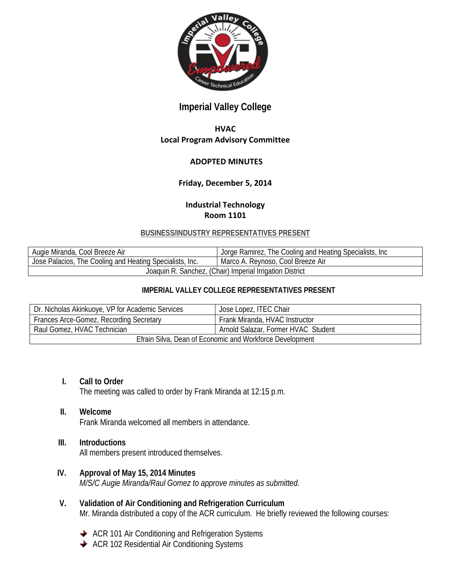

# **Imperial Valley College**

## **HVAC Local Program Advisory Committee**

#### **ADOPTED MINUTES**

### **Friday, December 5, 2014**

# **Industrial Technology Room 1101**

#### **BUSINESS/INDUSTRY REPRESENTATIVES PRESENT**

| Augie Miranda, Cool Breeze Air                           | Jorge Ramirez, The Cooling and Heating Specialists, Inc. |
|----------------------------------------------------------|----------------------------------------------------------|
| Jose Palacios, The Cooling and Heating Specialists, Inc. | Marco A. Reynoso, Cool Breeze Air                        |
| Joaquin R. Sanchez, (Chair) Imperial Irrigation District |                                                          |

#### **IMPERIAL VALLEY COLLEGE REPRESENTATIVES PRESENT**

| Dr. Nicholas Akinkuoye, VP for Academic Services         | Jose Lopez, ITEC Chair              |
|----------------------------------------------------------|-------------------------------------|
| Frances Arce-Gomez, Recording Secretary                  | Frank Miranda, HVAC Instructor      |
| Raul Gomez, HVAC Technician                              | Arnold Salazar, Former HVAC Student |
| Efrain Silva, Dean of Economic and Workforce Development |                                     |

- **I. Call to Order** The meeting was called to order by Frank Miranda at 12:15 p.m.
- **II. Welcome** Frank Miranda welcomed all members in attendance.
- **III. Introductions**

All members present introduced themselves.

- **IV. Approval of May 15, 2014 Minutes** *M/S/C Augie Miranda/Raul Gomez to approve minutes as submitted.*
- **V. Validation of Air Conditioning and Refrigeration Curriculum** Mr. Miranda distributed a copy of the ACR curriculum. He briefly reviewed the following courses:
	- ◆ ACR 101 Air Conditioning and Refrigeration Systems
	- ◆ ACR 102 Residential Air Conditioning Systems